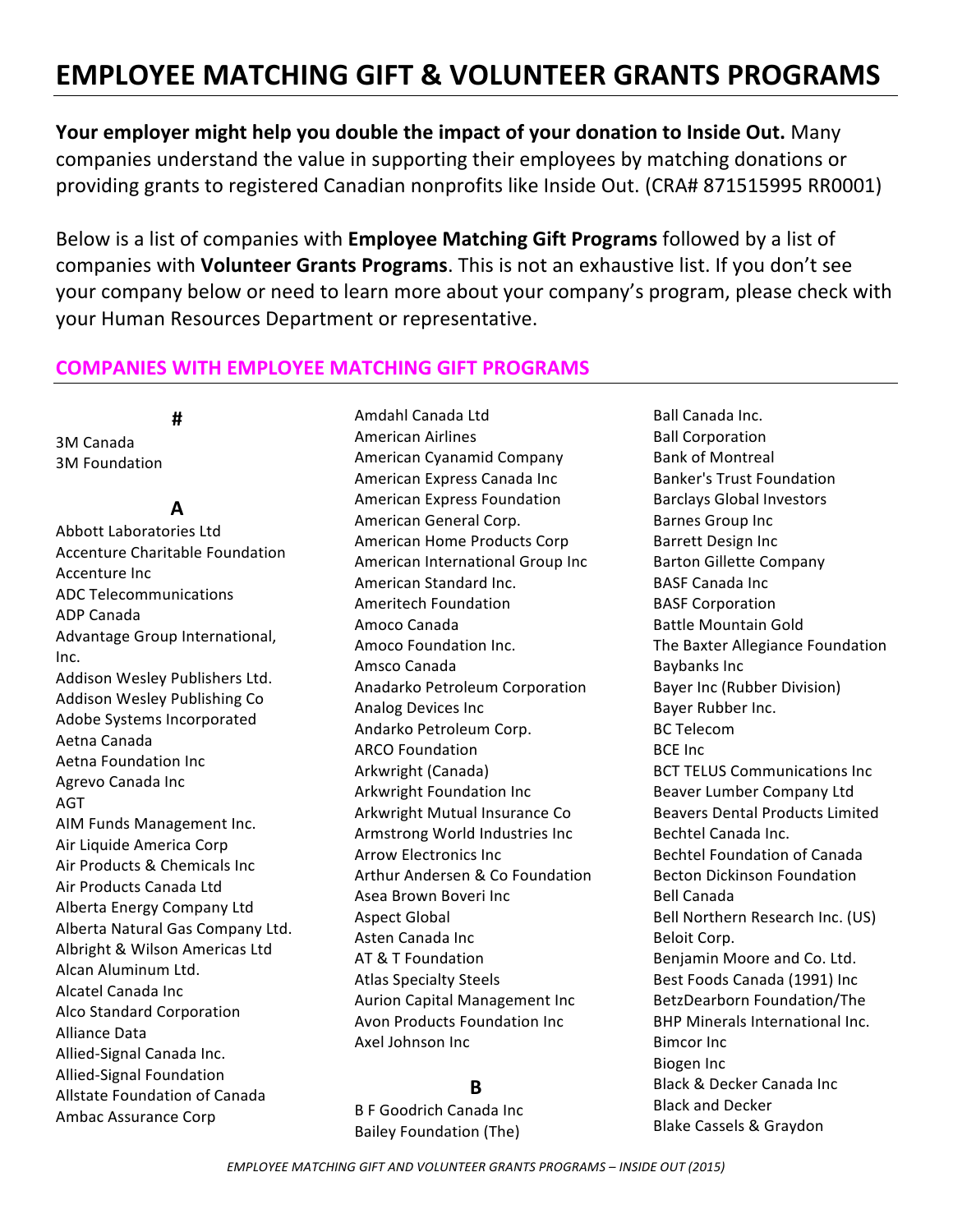# **EMPLOYEE MATCHING GIFT & VOLUNTEER GRANTS PROGRAMS**

**Your employer might help you double the impact of your donation to Inside Out.** Many companies understand the value in supporting their employees by matching donations or providing grants to registered Canadian nonprofits like Inside Out. (CRA# 871515995 RR0001)

Below is a list of companies with **Employee Matching Gift Programs** followed by a list of companies with **Volunteer Grants Programs**. This is not an exhaustive list. If you don't see your company below or need to learn more about your company's program, please check with your Human Resources Department or representative.

# **COMPANIES WITH EMPLOYEE MATCHING GIFT PROGRAMS**

### **#**

3M Canada 3M Foundation 

# **A**

Abbott Laboratories Ltd Accenture Charitable Foundation **Accenture Inc.** ADC Telecommunications ADP Canada Advantage Group International, Inc. Addison Wesley Publishers Ltd. Addison Wesley Publishing Co Adobe Systems Incorporated Aetna Canada Aetna Foundation Inc Agrevo Canada Inc AGT AIM Funds Management Inc. Air Liquide America Corp Air Products & Chemicals Inc Air Products Canada Ltd Alberta Energy Company Ltd Alberta Natural Gas Company Ltd. Albright & Wilson Americas Ltd Alcan Aluminum Ltd. Alcatel Canada Inc Alco Standard Corporation Alliance Data Allied-Signal Canada Inc. Allied-Signal Foundation Allstate Foundation of Canada Ambac Assurance Corp 

Amdahl Canada Ltd American Airlines American Cyanamid Company American Express Canada Inc American Express Foundation American General Corp. American Home Products Corp American International Group Inc American Standard Inc. Ameritech Foundation Amoco Canada Amoco Foundation Inc. Amsco Canada Anadarko Petroleum Corporation Analog Devices Inc Andarko Petroleum Corp. **ARCO Foundation** Arkwright (Canada) Arkwright Foundation Inc Arkwright Mutual Insurance Co Armstrong World Industries Inc. Arrow Electronics Inc Arthur Andersen & Co Foundation Asea Brown Boveri Inc **Aspect Global** Asten Canada Inc AT & T Foundation Atlas Specialty Steels Aurion Capital Management Inc Avon Products Foundation Inc. Axel Johnson Inc

# **B**

**B F Goodrich Canada Inc** Bailey Foundation (The)

Ball Canada Inc. **Ball Corporation** Bank of Montreal Banker's Trust Foundation Barclays Global Investors Barnes Group Inc **Barrett Design Inc** Barton Gillette Company **BASF Canada Inc BASF Corporation** Battle Mountain Gold The Baxter Allegiance Foundation Baybanks Inc Bayer Inc (Rubber Division) Bayer Rubber Inc. BC Telecom **BCE** Inc **BCT TELUS Communications Inc** Beaver Lumber Company Ltd Beavers Dental Products Limited Bechtel Canada Inc. Bechtel Foundation of Canada Becton Dickinson Foundation Bell Canada Bell Northern Research Inc. (US) Beloit Corp. Benjamin Moore and Co. Ltd. Best Foods Canada (1991) Inc BetzDearborn Foundation/The **BHP Minerals International Inc. Bimcor** Inc **Biogen** Inc. Black & Decker Canada Inc Black and Decker Blake Cassels & Graydon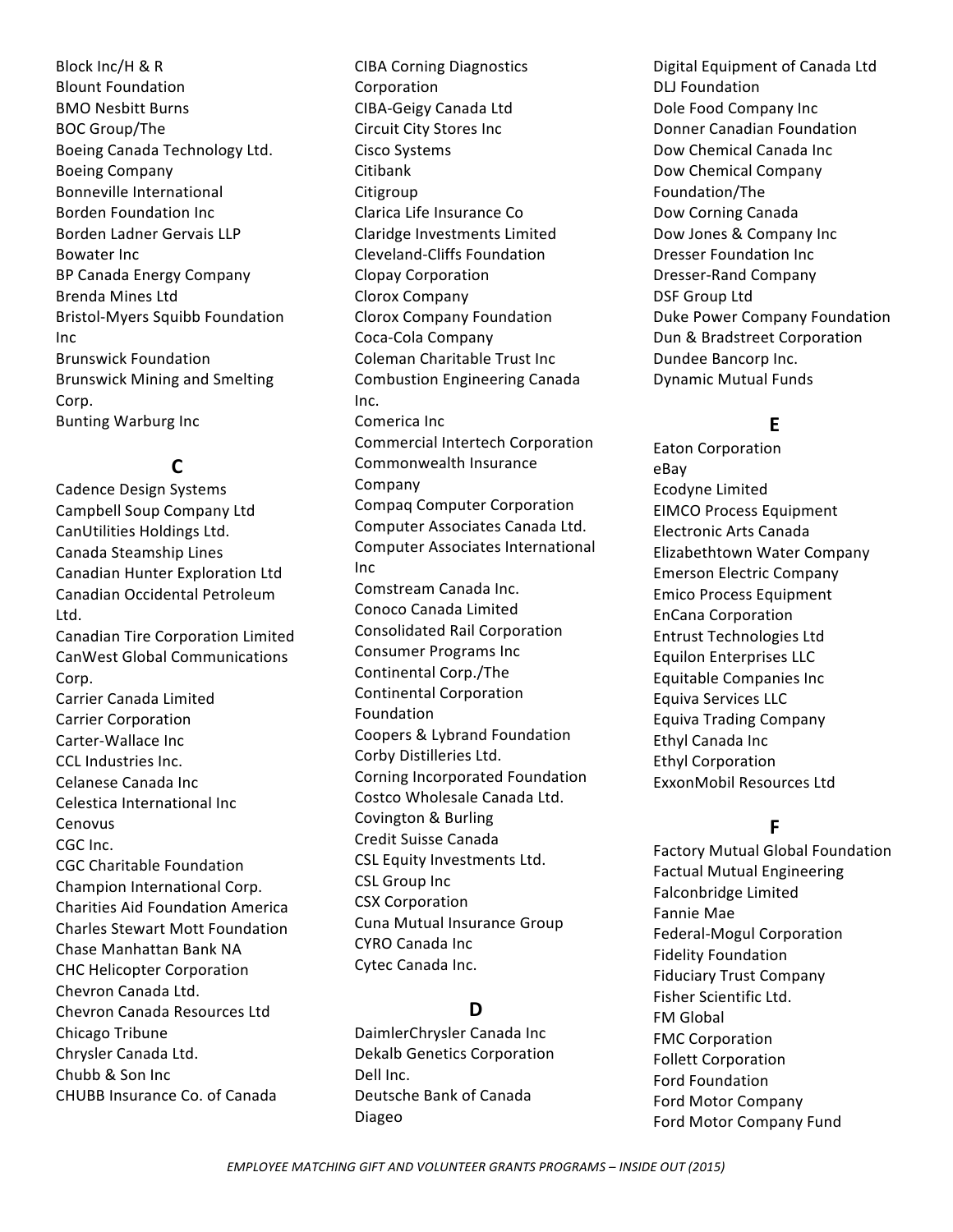Block Inc/H & R **Blount Foundation BMO Nesbitt Burns** BOC Group/The Boeing Canada Technology Ltd. Boeing Company Bonneville International Borden Foundation Inc Borden Ladner Gervais LLP **Bowater Inc.** BP Canada Energy Company Brenda Mines Ltd Bristol-Myers Squibb Foundation Inc Brunswick Foundation Brunswick Mining and Smelting Corp. **Bunting Warburg Inc** 

# **C**

Cadence Design Systems Campbell Soup Company Ltd CanUtilities Holdings Ltd. Canada Steamship Lines Canadian Hunter Exploration Ltd Canadian Occidental Petroleum Ltd. Canadian Tire Corporation Limited CanWest Global Communications Corp. Carrier Canada Limited Carrier Corporation Carter-Wallace Inc CCL Industries Inc. Celanese Canada Inc. Celestica International Inc Cenovus CGC Inc. CGC Charitable Foundation Champion International Corp. Charities Aid Foundation America Charles Stewart Mott Foundation Chase Manhattan Bank NA CHC Helicopter Corporation Chevron Canada Ltd. Chevron Canada Resources Ltd Chicago Tribune Chrysler Canada Ltd. Chubb & Son Inc CHUBB Insurance Co. of Canada

CIBA Corning Diagnostics Corporation CIBA-Geigy Canada Ltd Circuit City Stores Inc Cisco Systems Citibank Citigroup Clarica Life Insurance Co Claridge Investments Limited Cleveland-Cliffs Foundation Clopay Corporation Clorox Company Clorox Company Foundation Coca-Cola Company Coleman Charitable Trust Inc Combustion Engineering Canada Inc. Comerica Inc. Commercial Intertech Corporation Commonwealth Insurance Company Compaq Computer Corporation Computer Associates Canada Ltd. Computer Associates International Inc Comstream Canada Inc. Conoco Canada Limited Consolidated Rail Corporation Consumer Programs Inc Continental Corp./The Continental Corporation Foundation Coopers & Lybrand Foundation Corby Distilleries Ltd. Corning Incorporated Foundation Costco Wholesale Canada Ltd. Covington & Burling Credit Suisse Canada CSL Equity Investments Ltd. CSL Group Inc CSX Corporation Cuna Mutual Insurance Group CYRO Canada Inc Cytec Canada Inc.

# **D**

DaimlerChrysler Canada Inc Dekalb Genetics Corporation Dell Inc. Deutsche Bank of Canada Diageo 

Digital Equipment of Canada Ltd DLJ Foundation Dole Food Company Inc Donner Canadian Foundation Dow Chemical Canada Inc Dow Chemical Company Foundation/The Dow Corning Canada Dow Jones & Company Inc Dresser Foundation Inc. Dresser-Rand Company DSF Group Ltd Duke Power Company Foundation Dun & Bradstreet Corporation Dundee Bancorp Inc. Dynamic Mutual Funds

# **E**

Eaton Corporation eBay Ecodyne Limited EIMCO Process Equipment Electronic Arts Canada Elizabethtown Water Company Emerson Electric Company Emico Process Equipment EnCana Corporation Entrust Technologies Ltd Equilon Enterprises LLC Equitable Companies Inc. Equiva Services LLC Equiva Trading Company Ethyl Canada Inc Ethyl Corporation ExxonMobil Resources Ltd

# **F**

Factory Mutual Global Foundation Factual Mutual Engineering Falconbridge Limited Fannie Mae Federal-Mogul Corporation Fidelity Foundation Fiduciary Trust Company Fisher Scientific Ltd. **FM** Global **FMC** Corporation Follett Corporation Ford Foundation Ford Motor Company Ford Motor Company Fund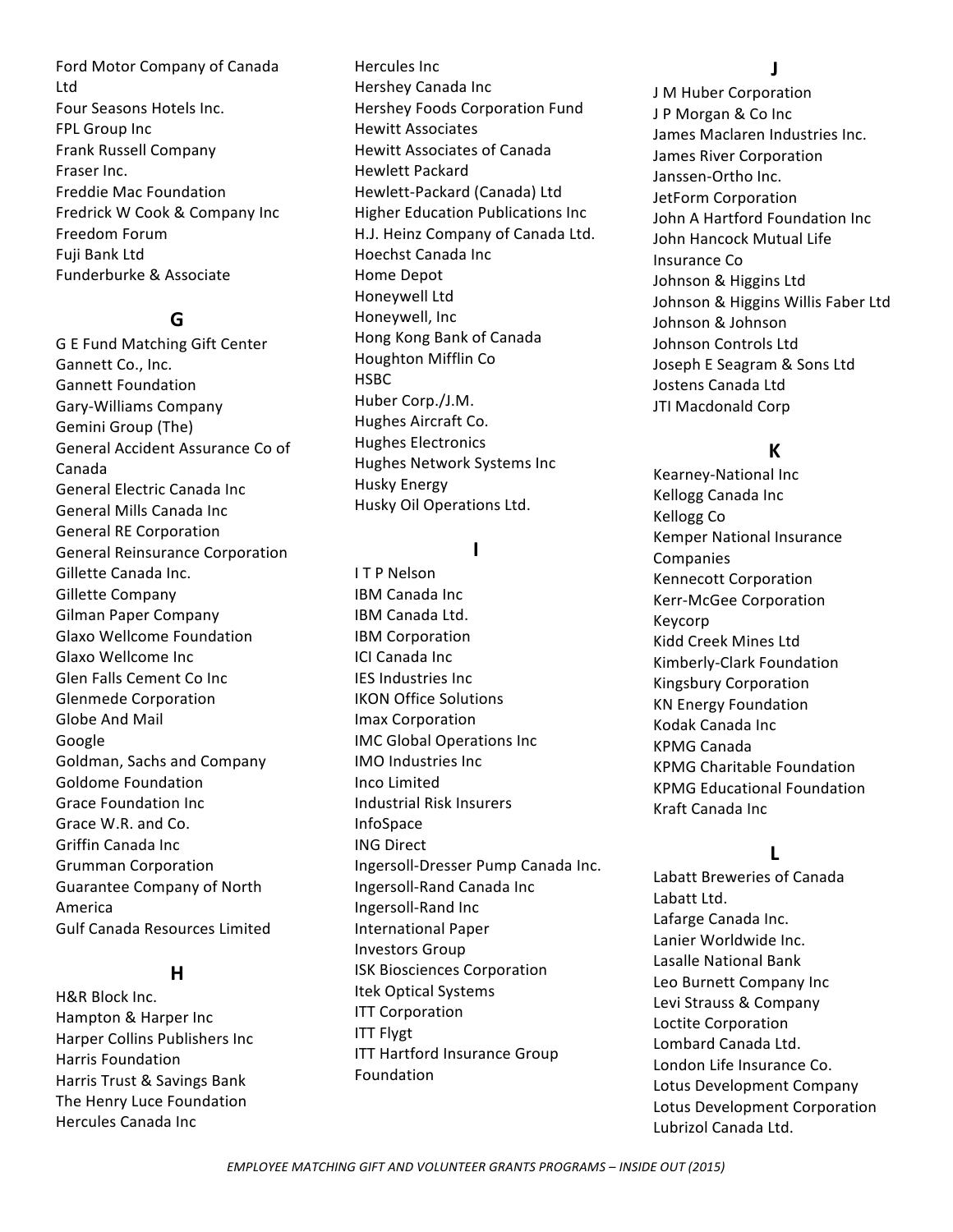Ford Motor Company of Canada Ltd Four Seasons Hotels Inc. FPL Group Inc Frank Russell Company Fraser Inc. Freddie Mac Foundation Fredrick W Cook & Company Inc Freedom Forum Fuii Bank Ltd Funderburke & Associate 

### **G**

G E Fund Matching Gift Center Gannett Co., Inc. Gannett Foundation Gary-Williams Company Gemini Group (The) General Accident Assurance Co of Canada General Electric Canada Inc. General Mills Canada Inc. General RE Corporation General Reinsurance Corporation Gillette Canada Inc. Gillette Company Gilman Paper Company Glaxo Wellcome Foundation Glaxo Wellcome Inc. Glen Falls Cement Co Inc Glenmede Corporation Globe And Mail Google Goldman, Sachs and Company Goldome Foundation Grace Foundation Inc. Grace W.R. and Co. Griffin Canada Inc Grumman Corporation Guarantee Company of North America Gulf Canada Resources Limited

#### **H**

H&R Block Inc. Hampton & Harper Inc Harper Collins Publishers Inc. Harris Foundation Harris Trust & Savings Bank The Henry Luce Foundation Hercules Canada Inc 

Hercules Inc Hershey Canada Inc Hershey Foods Corporation Fund Hewitt Associates Hewitt Associates of Canada Hewlett Packard Hewlett-Packard (Canada) Ltd Higher Education Publications Inc H.J. Heinz Company of Canada Ltd. Hoechst Canada Inc Home Depot Honeywell Ltd Honeywell, Inc Hong Kong Bank of Canada Houghton Mifflin Co **HSBC** Huber Corp./J.M. Hughes Aircraft Co. Hughes Electronics Hughes Network Systems Inc Husky Energy Husky Oil Operations Ltd.

#### **I**

**ITP** Nelson **IBM** Canada Inc IBM Canada Ltd. IBM Corporation **ICI Canada Inc. IES** Industries Inc IKON Office Solutions Imax Corporation IMC Global Operations Inc IMO Industries Inc Inco Limited Industrial Risk Insurers InfoSpace ING Direct Ingersoll-Dresser Pump Canada Inc. Ingersoll-Rand Canada Inc Ingersoll-Rand Inc International Paper Investors Group ISK Biosciences Corporation Itek Optical Systems **ITT Corporation** ITT Flygt ITT Hartford Insurance Group Foundation 

#### **J**

J M Huber Corporation J P Morgan & Co Inc James Maclaren Industries Inc. James River Corporation Janssen-Ortho Inc. JetForm Corporation John A Hartford Foundation Inc John Hancock Mutual Life Insurance Co Johnson & Higgins Ltd Johnson & Higgins Willis Faber Ltd Johnson & Johnson Johnson Controls Ltd Joseph E Seagram & Sons Ltd Jostens Canada Ltd JTI Macdonald Corp

# **K**

Kearney-National Inc Kellogg Canada Inc Kellogg Co Kemper National Insurance Companies **Kennecott Corporation** Kerr-McGee Corporation Keycorp Kidd Creek Mines Ltd Kimberly-Clark Foundation Kingsbury Corporation KN Energy Foundation Kodak Canada Inc KPMG Canada KPMG Charitable Foundation KPMG Educational Foundation Kraft Canada Inc

### **L**

Labatt Breweries of Canada Labatt Ltd. Lafarge Canada Inc. Lanier Worldwide Inc. Lasalle National Bank Leo Burnett Company Inc Levi Strauss & Company Loctite Corporation Lombard Canada Ltd. London Life Insurance Co. Lotus Development Company Lotus Development Corporation Lubrizol Canada Ltd.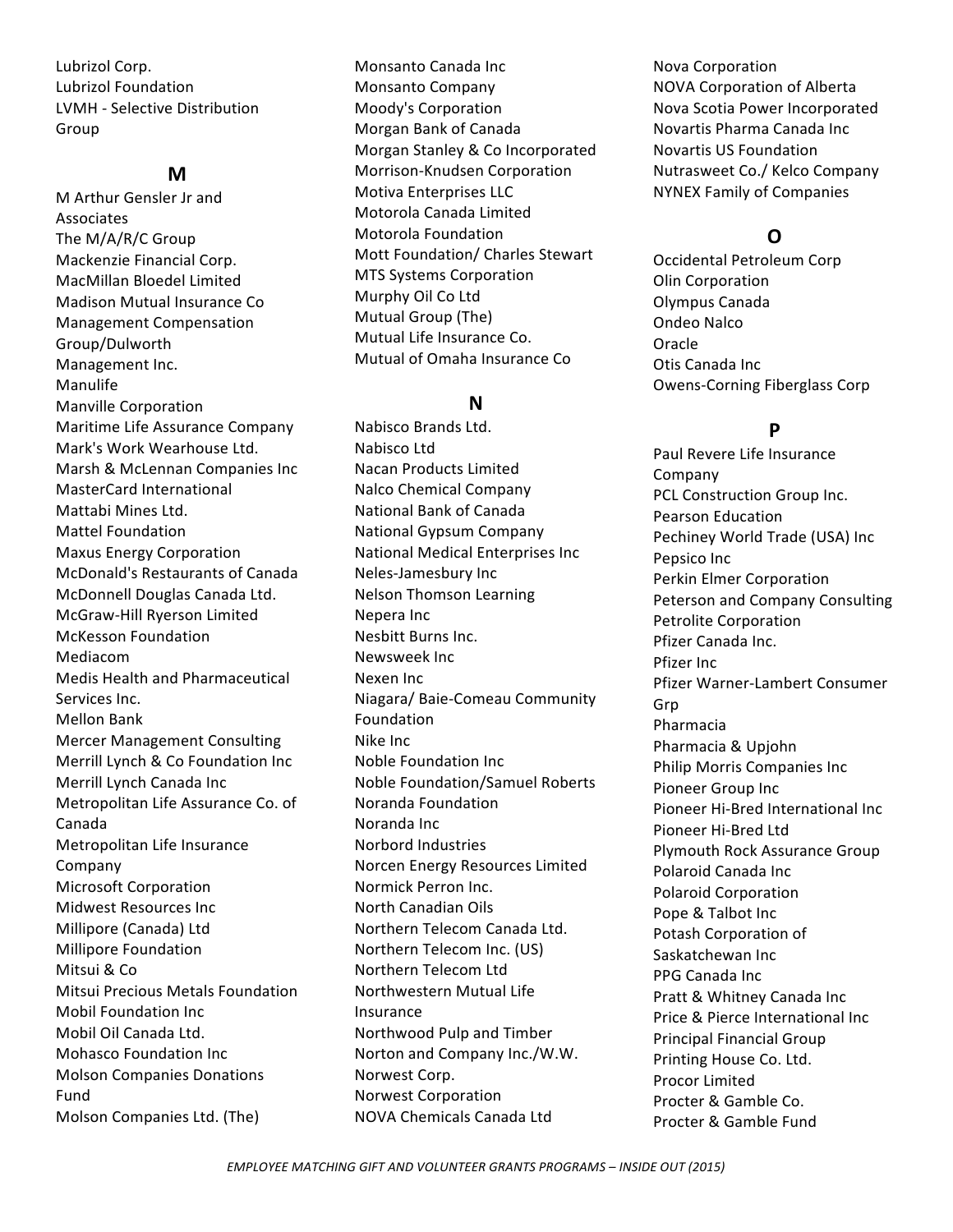Lubrizol Corp. Lubrizol Foundation LVMH - Selective Distribution Group 

### **M**

M Arthur Gensler Jr and Associates The M/A/R/C Group Mackenzie Financial Corp. MacMillan Bloedel Limited Madison Mutual Insurance Co **Management Compensation** Group/Dulworth Management Inc. Manulife Manville Corporation Maritime Life Assurance Company Mark's Work Wearhouse Ltd. Marsh & McLennan Companies Inc MasterCard International Mattabi Mines I td. Mattel Foundation Maxus Energy Corporation McDonald's Restaurants of Canada McDonnell Douglas Canada Ltd. McGraw-Hill Ryerson Limited McKesson Foundation Mediacom Medis Health and Pharmaceutical Services Inc. Mellon Bank Mercer Management Consulting Merrill Lynch & Co Foundation Inc Merrill Lynch Canada Inc Metropolitan Life Assurance Co. of Canada Metropolitan Life Insurance Company Microsoft Corporation Midwest Resources Inc Millipore (Canada) Ltd **Millipore Foundation** Mitsui & Co. Mitsui Precious Metals Foundation **Mobil Foundation Inc.** Mobil Oil Canada Ltd. Mohasco Foundation Inc Molson Companies Donations Fund Molson Companies Ltd. (The)

Monsanto Canada Inc Monsanto Company Moody's Corporation Morgan Bank of Canada Morgan Stanley & Co Incorporated Morrison-Knudsen Corporation Motiva Enterprises LLC Motorola Canada Limited Motorola Foundation Mott Foundation/ Charles Stewart **MTS Systems Corporation** Murphy Oil Co Ltd Mutual Group (The) Mutual Life Insurance Co. Mutual of Omaha Insurance Co

### **N**

Nabisco Brands Ltd. Nabisco Ltd Nacan Products Limited Nalco Chemical Company National Bank of Canada National Gypsum Company National Medical Enterprises Inc Neles-Jamesbury Inc Nelson Thomson Learning Nepera Inc Nesbitt Burns Inc. Newsweek Inc Nexen Inc Niagara/ Baie-Comeau Community Foundation Nike Inc. Noble Foundation Inc Noble Foundation/Samuel Roberts Noranda Foundation Noranda Inc Norbord Industries Norcen Energy Resources Limited Normick Perron Inc. North Canadian Oils Northern Telecom Canada Ltd. Northern Telecom Inc. (US) Northern Telecom Ltd Northwestern Mutual Life Insurance Northwood Pulp and Timber Norton and Company Inc./W.W. Norwest Corp. Norwest Corporation NOVA Chemicals Canada Ltd 

Nova Corporation **NOVA Corporation of Alberta** Nova Scotia Power Incorporated Novartis Pharma Canada Inc Novartis US Foundation Nutrasweet Co./ Kelco Company NYNEX Family of Companies 

# **O**

Occidental Petroleum Corp **Olin Corporation** Olympus Canada Ondeo Nalco **Oracle** Otis Canada Inc. Owens-Corning Fiberglass Corp

# **P**

Paul Revere Life Insurance Company PCL Construction Group Inc. Pearson Education Pechiney World Trade (USA) Inc Pepsico Inc Perkin Elmer Corporation Peterson and Company Consulting Petrolite Corporation Pfizer Canada Inc. Pfizer Inc. Pfizer Warner-Lambert Consumer Grp Pharmacia Pharmacia & Upjohn Philip Morris Companies Inc. Pioneer Group Inc Pioneer Hi-Bred International Inc Pioneer Hi-Bred Ltd Plymouth Rock Assurance Group Polaroid Canada Inc Polaroid Corporation Pope & Talbot Inc Potash Corporation of Saskatchewan Inc PPG Canada Inc Pratt & Whitney Canada Inc Price & Pierce International Inc Principal Financial Group Printing House Co. Ltd. Procor Limited Procter & Gamble Co. Procter & Gamble Fund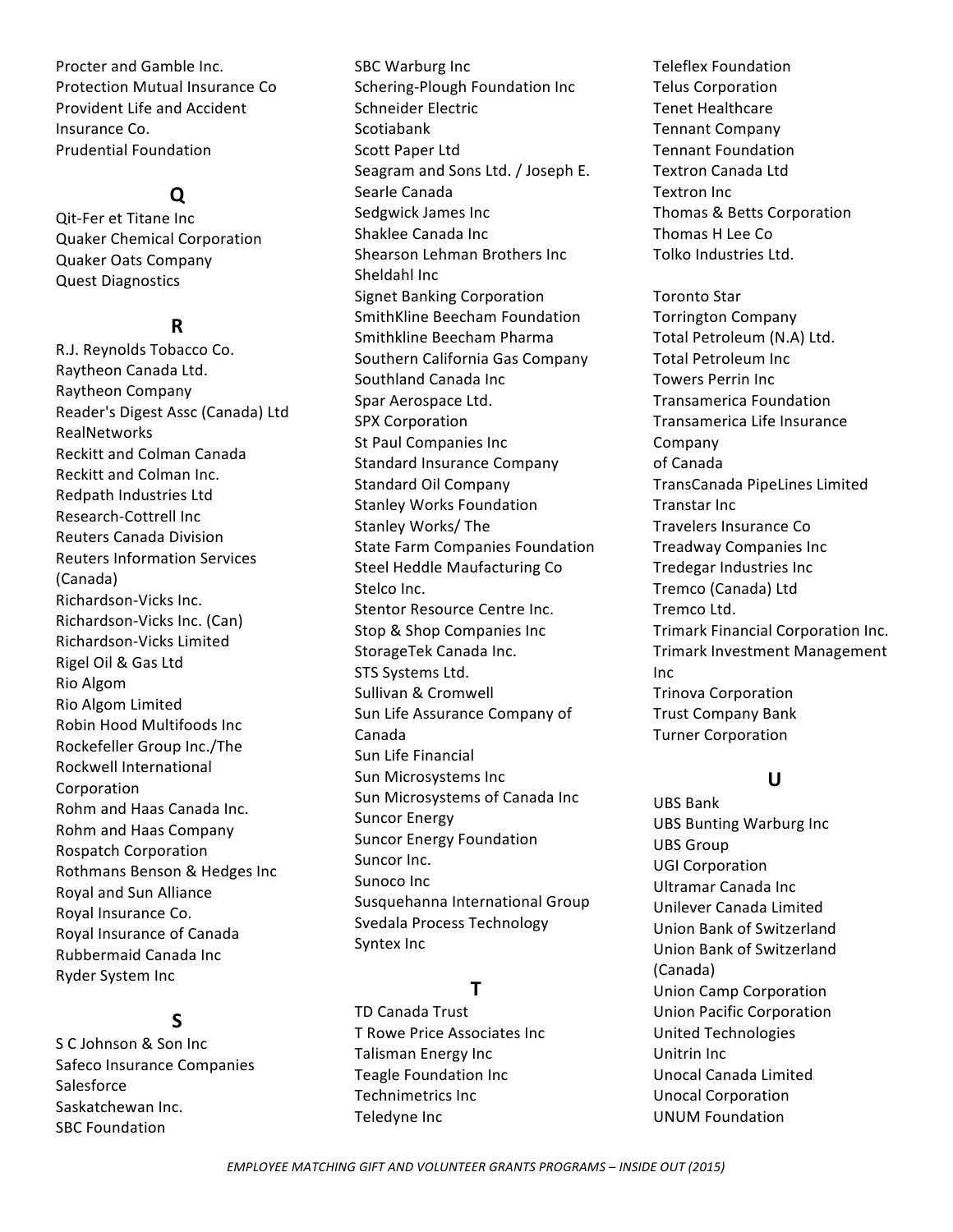Procter and Gamble Inc. Protection Mutual Insurance Co Provident Life and Accident Insurance Co. Prudential Foundation 

### **Q**

Qit-Fer et Titane Inc Quaker Chemical Corporation Quaker Oats Company Quest Diagnostics

### **R**

R.J. Reynolds Tobacco Co. Raytheon Canada Ltd. Raytheon Company Reader's Digest Assc (Canada) Ltd RealNetworks Reckitt and Colman Canada Reckitt and Colman Inc. Redpath Industries Ltd Research-Cottrell Inc Reuters Canada Division Reuters Information Services (Canada) Richardson-Vicks Inc. Richardson-Vicks Inc. (Can) Richardson-Vicks Limited Rigel Oil & Gas Ltd Rio Algom Rio Algom Limited Robin Hood Multifoods Inc Rockefeller Group Inc./The Rockwell International Corporation Rohm and Haas Canada Inc. Rohm and Haas Company Rospatch Corporation Rothmans Benson & Hedges Inc Royal and Sun Alliance Royal Insurance Co. Royal Insurance of Canada Rubbermaid Canada Inc Ryder System Inc

# **S**

S C Johnson & Son Inc Safeco Insurance Companies Salesforce Saskatchewan Inc. SBC Foundation

SBC Warburg Inc Schering-Plough Foundation Inc Schneider Electric Scotiabank Scott Paper Ltd Seagram and Sons Ltd. / Joseph E. Searle Canada Sedgwick James Inc Shaklee Canada Inc Shearson Lehman Brothers Inc Sheldahl Inc Signet Banking Corporation SmithKline Beecham Foundation Smithkline Beecham Pharma Southern California Gas Company Southland Canada Inc Spar Aerospace Ltd. SPX Corporation St Paul Companies Inc. Standard Insurance Company Standard Oil Company Stanley Works Foundation Stanley Works/ The State Farm Companies Foundation Steel Heddle Maufacturing Co Stelco Inc. Stentor Resource Centre Inc. Stop & Shop Companies Inc. StorageTek Canada Inc. STS Systems Ltd. Sullivan & Cromwell Sun Life Assurance Company of Canada Sun Life Financial Sun Microsystems Inc Sun Microsystems of Canada Inc Suncor Energy Suncor Energy Foundation Suncor Inc. Sunoco Inc Susquehanna International Group Svedala Process Technology Syntex Inc

# **T**

TD Canada Trust T Rowe Price Associates Inc Talisman Energy Inc Teagle Foundation Inc. Technimetrics Inc Teledyne Inc

Teleflex Foundation Telus Corporation Tenet Healthcare Tennant Company Tennant Foundation Textron Canada Ltd **Textron** Inc Thomas & Betts Corporation Thomas H Lee Co Tolko Industries Ltd.

Toronto Star Torrington Company Total Petroleum (N.A) Ltd. Total Petroleum Inc **Towers Perrin Inc.** Transamerica Foundation Transamerica Life Insurance Company of Canada TransCanada PipeLines Limited Transtar Inc Travelers Insurance Co Treadway Companies Inc Tredegar Industries Inc Tremco (Canada) Ltd Tremco Ltd. Trimark Financial Corporation Inc. Trimark Investment Management Inc Trinova Corporation Trust Company Bank **Turner Corporation** 

### **U**

UBS Bank UBS Bunting Warburg Inc UBS Group UGI Corporation Ultramar Canada Inc Unilever Canada Limited Union Bank of Switzerland Union Bank of Switzerland (Canada) Union Camp Corporation Union Pacific Corporation United Technologies Unitrin Inc. Unocal Canada Limited Unocal Corporation UNUM Foundation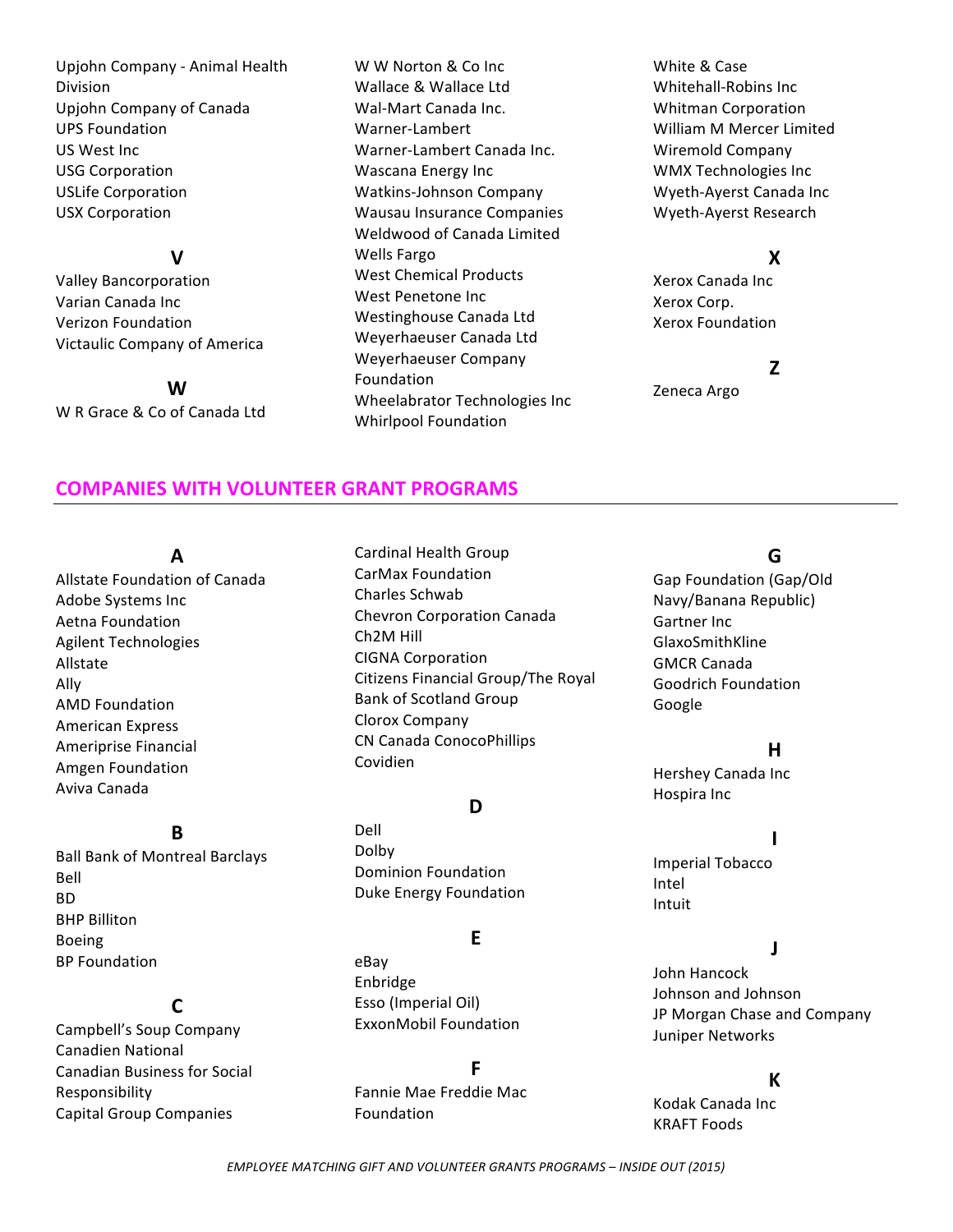Upjohn Company - Animal Health Division Upjohn Company of Canada UPS Foundation US West Inc USG Corporation USLife Corporation USX Corporation 

#### **V**

Valley Bancorporation Varian Canada Inc Verizon Foundation Victaulic Company of America 

**W** W R Grace & Co of Canada Ltd

W W Norton & Co Inc Wallace & Wallace Ltd Wal-Mart Canada Inc. Warner-Lambert Warner-Lambert Canada Inc. Wascana Energy Inc Watkins-Johnson Company Wausau Insurance Companies Weldwood of Canada Limited Wells Fargo West Chemical Products West Penetone Inc. Westinghouse Canada Ltd Weyerhaeuser Canada Ltd Weyerhaeuser Company Foundation Wheelabrator Technologies Inc Whirlpool Foundation

White & Case Whitehall-Robins Inc Whitman Corporation William M Mercer Limited Wiremold Company WMX Technologies Inc Wyeth-Ayerst Canada Inc Wyeth-Ayerst Research

### **X**

Xerox Canada Inc Xerox Corp. Xerox Foundation 

# **Z**

Zeneca Argo

### **COMPANIES WITH VOLUNTEER GRANT PROGRAMS**

#### **A**

Allstate Foundation of Canada Adobe Systems Inc Aetna Foundation Agilent Technologies Allstate Ally **AMD Foundation** American Express Ameriprise Financial Amgen Foundation Aviva Canada

# **B**

**Ball Bank of Montreal Barclays** Bell BD **BHP** Billiton Boeing **BP** Foundation

# **C**

Campbell's Soup Company Canadien National Canadian Business for Social Responsibility Capital Group Companies

Cardinal Health Group CarMax Foundation Charles Schwab Chevron Corporation Canada Ch2M Hill CIGNA Corporation Citizens Financial Group/The Royal Bank of Scotland Group Clorox Company CN Canada ConocoPhillips Covidien

### **D**

Dell Dolby Dominion Foundation Duke Energy Foundation

### **E**

eBay Enbridge Esso (Imperial Oil) ExxonMobil Foundation

#### **F**

Fannie Mae Freddie Mac Foundation

# **G**

Gap Foundation (Gap/Old Navy/Banana Republic) Gartner Inc. GlaxoSmithKline GMCR Canada Goodrich Foundation Google

#### **H**

Hershey Canada Inc Hospira Inc

#### **I**

Imperial Tobacco Intel Intuit

### **J**

John Hancock Johnson and Johnson JP Morgan Chase and Company **Juniper Networks** 

#### **K**

Kodak Canada Inc **KRAFT Foods** 

**EMPLOYEE MATCHING GIFT AND VOLUNTEER GRANTS PROGRAMS - INSIDE OUT (2015)**